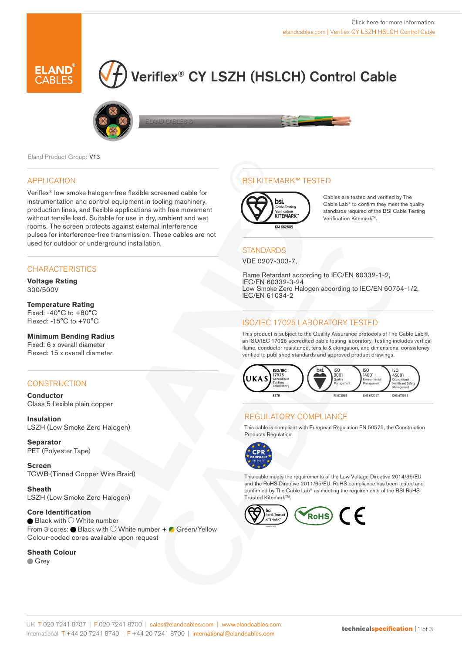

# Veriflex® CY LSZH (HSLCH) Control Cable





Eland Product Group: V13

## APPLICATION

Veriflex® low smoke halogen-free flexible screened cable for instrumentation and control equipment in tooling machinery, production lines, and flexible applications with free movement without tensile load. Suitable for use in dry, ambient and wet rooms. The screen protects against external interference pulses for interference-free transmission. These cables are not used for outdoor or underground installation.

## **CHARACTERISTICS**

**Voltage Rating**  300/500V

#### **Temperature Rating**

Fixed: -40°C to +80°C Flexed: -15°C to +70°C

## **Minimum Bending Radius**

Fixed: 6 x overall diameter Flexed: 15 x overall diameter

## **CONSTRUCTION**

**Conductor** Class 5 flexible plain copper

**Insulation** LSZH (Low Smoke Zero Halogen)

**Separator** PET (Polyester Tape)

**Screen** TCWB (Tinned Copper Wire Braid)

**Sheath** LSZH (Low Smoke Zero Halogen)

**Core Identification**  $\bullet$  Black with  $\circlearrowright$  White number From 3 cores:  $\bullet$  Black with  $\circlearrowright$  White number +  $\bullet$  Green/Yellow Colour-coded cores available upon request

#### **Sheath Colour**

**Grey** 

## BSI KITEMARK™ TESTED



Cables are tested and verified by The Cable Lab® to confirm they meet the quality standards required of the BSI Cable Testing Verification Kitemark™.

### **STANDARDS**

VDE 0207-303-7,

Flame Retardant according to IEC/EN 60332-1-2, IEC/EN 60332-3-24 Low Smoke Zero Halogen according to IEC/EN 60754-1/2, IEC/EN 61034-2

## ISO/IEC 17025 LABORATORY TESTED

This product is subject to the Quality Assurance protocols of The Cable Lab®, an ISO/IEC 17025 accredited cable testing laboratory. Testing includes vertical flame, conductor resistance, tensile & elongation, and dimensional consistency, verified to published standards and approved product drawings.



### REGULATORY COMPLIANCE

This cable is compliant with European Regulation EN 50575, the Construction Products Regulation.



This cable meets the requirements of the Low Voltage Directive 2014/35/EU and the RoHS Directive 2011/65/EU. RoHS compliance has been tested and confirmed by The Cable Lab® as meeting the requirements of the BSI RoHS Trusted Kitemark™.

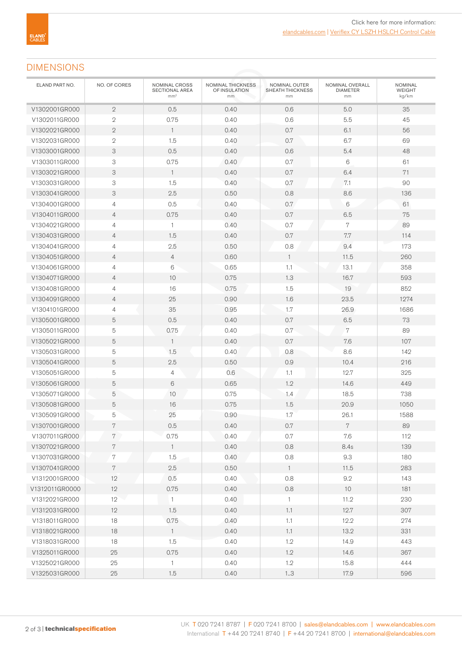## DIMENSIONS

| ELAND PART NO. | NO. OF CORES              | NOMINAL CROSS<br>SECTIONAL AREA<br>mm <sup>2</sup> | NOMINAL THICKNESS<br>OF INSULATION<br>mm | NOMINAL OUTER<br>SHEATH THICKNESS<br>mm | NOMINAL OVERALL<br><b>DIAMETER</b><br>mm | <b>NOMINAL</b><br><b>WEIGHT</b><br>kg/km |
|----------------|---------------------------|----------------------------------------------------|------------------------------------------|-----------------------------------------|------------------------------------------|------------------------------------------|
| V1302001GR000  | $\overline{2}$            | 0.5                                                | 0.40                                     | 0.6                                     | 5.0                                      | 35                                       |
| V1302011GR000  | $\mathbf{2}$              | 0.75                                               | 0.40                                     | 0.6                                     | 5.5                                      | 45                                       |
| V1302021GR000  | $\mathbf{2}$              | $\mathbf{1}$                                       | 0.40                                     | 0.7                                     | 6.1                                      | 56                                       |
| V1302031GR000  | $\sqrt{2}$                | 1.5                                                | 0.40                                     | 0.7                                     | 6.7                                      | 69                                       |
| V1303001GR000  | $\ensuremath{\mathsf{3}}$ | 0.5                                                | 0.40                                     | 0.6                                     | 5.4                                      | 48                                       |
| V1303011GR000  | 3                         | 0.75                                               | 0.40                                     | 0.7                                     | 6                                        | 61                                       |
| V1303021GR000  | 3                         | $\mathbf{1}$                                       | 0.40                                     | 0.7                                     | 6.4                                      | 71                                       |
| V1303031GR000  | 3                         | 1.5                                                | 0.40                                     | 0.7                                     | 7.1                                      | 90                                       |
| V1303041GR000  | $\ensuremath{\mathsf{3}}$ | 2.5                                                | 0.50                                     | 0.8                                     | 8.6                                      | 136                                      |
| V1304001GR000  | $\overline{4}$            | 0.5                                                | 0.40                                     | 0.7                                     | 6                                        | 61                                       |
| V1304011GR000  | $\overline{4}$            | 0.75                                               | 0.40                                     | 0.7                                     | 6.5                                      | 75                                       |
| V1304021GR000  | $\overline{4}$            | $\mathbf{1}$                                       | 0.40                                     | 0.7                                     | 7                                        | 89                                       |
| V1304031GR000  | $\overline{4}$            | 1.5                                                | 0.40                                     | 0.7                                     | 7.7                                      | 114                                      |
| V1304041GR000  | $\overline{4}$            | 2.5                                                | 0.50                                     | 0.8                                     | 9.4                                      | 173                                      |
| V1304051GR000  | $\overline{4}$            | $\overline{4}$                                     | 0.60                                     | $\mathbf{1}$                            | 11.5                                     | 260                                      |
| V1304061GR000  | 4                         | 6                                                  | 0.65                                     | 1.1                                     | 13.1                                     | 358                                      |
| V1304071GR000  | $\overline{4}$            | 10                                                 | 0.75                                     | 1.3                                     | 16.7                                     | 593                                      |
| V1304081GR000  | 4                         | 16                                                 | 0.75                                     | 1.5                                     | 19                                       | 852                                      |
| V1304091GR000  | $\overline{4}$            | 25                                                 | 0.90                                     | 1.6                                     | 23.5                                     | 1274                                     |
| V1304101GR000  | 4                         | 35                                                 | 0.95                                     | $1.7\,$                                 | 26.9                                     | 1686                                     |
| V1305001GR000  | 5                         | 0.5                                                | 0.40                                     | 0.7                                     | 6.5                                      | 73                                       |
| V1305011GR000  | 5                         | 0.75                                               | 0.40                                     | 0.7                                     | $\overline{7}$                           | 89                                       |
| V1305021GR000  | 5                         | $\mathbf{1}$                                       | 0.40                                     | 0.7                                     | 7.6                                      | 107                                      |
| V1305031GR000  | 5                         | 1.5                                                | 0.40                                     | 0.8                                     | 8.6                                      | 142                                      |
| V1305041GR000  | 5                         | 2.5                                                | 0.50                                     | 0.9                                     | 10.4                                     | 216                                      |
| V1305051GR000  | 5                         | 4                                                  | 0.6                                      | 1.1                                     | 12.7                                     | 325                                      |
| V1305061GR000  | 5                         | 6                                                  | 0.65                                     | 1.2                                     | 14.6                                     | 449                                      |
| V1305071GR000  | 5                         | 10                                                 | 0.75                                     | 1.4                                     | 18.5                                     | 738                                      |
| V1305081GR000  | 5                         | 16                                                 | 0.75                                     | 1.5                                     | 20.9                                     | 1050                                     |
| V1305091GR000  | 5                         | 25                                                 | 0.90                                     | 1.7                                     | 26.1                                     | 1588                                     |
| V1307001GR000  | 7                         | $0.5\,$                                            | 0.40                                     | $0.7\,$                                 | $\,7$                                    | 89                                       |
| V1307011GR000  | $7\phantom{.}$            | 0.75                                               | 0.40                                     | 0.7                                     | 7.6                                      | 112                                      |
| V1307021GR000  | $\,7$                     | $\overline{1}$                                     | 0.40                                     | 0.8                                     | 8.4s                                     | 139                                      |
| V1307031GR000  | $\sqrt{7}$                | 1.5                                                | 0.40                                     | 0.8                                     | 9.3                                      | 180                                      |
| V1307041GR000  | $\,7$                     | $2.5\,$                                            | 0.50                                     | $\overline{1}$                          | 11.5                                     | 283                                      |
| V1312001GR000  | 12                        | 0.5                                                | 0.40                                     | 0.8                                     | $9.2\,$                                  | 143                                      |
| V1312011GR0000 | 12                        | 0.75                                               | 0.40                                     | 0.8                                     | 10                                       | 181                                      |
| V1312021GR000  | 12                        | $\overline{1}$                                     | 0.40                                     | $\mathbf{1}$                            | 11.2                                     | 230                                      |
| V1312031GR000  | 12                        | 1.5                                                | 0.40                                     | 1.1                                     | 12.7                                     | 307                                      |
| V1318011GR000  | 18                        | 0.75                                               | 0.40                                     | 1.1                                     | 12.2                                     | 274                                      |
| V1318021GR000  | 18                        | $\overline{1}$                                     | 0.40                                     | 1.1                                     | 13.2                                     | 331                                      |
| V1318031GR000  | 18                        | 1.5                                                | 0.40                                     | 1.2                                     | 14.9                                     | 443                                      |
| V1325011GR000  | 25                        | 0.75                                               | 0.40                                     | 1.2                                     | 14.6                                     | 367                                      |
| V1325021GR000  | 25                        | $\mathbf{1}$                                       | 0.40                                     | 1.2                                     | 15.8                                     | 444                                      |
| V1325031GR000  | 25                        | 1.5                                                | 0.40                                     | 13                                      | 17.9                                     | 596                                      |